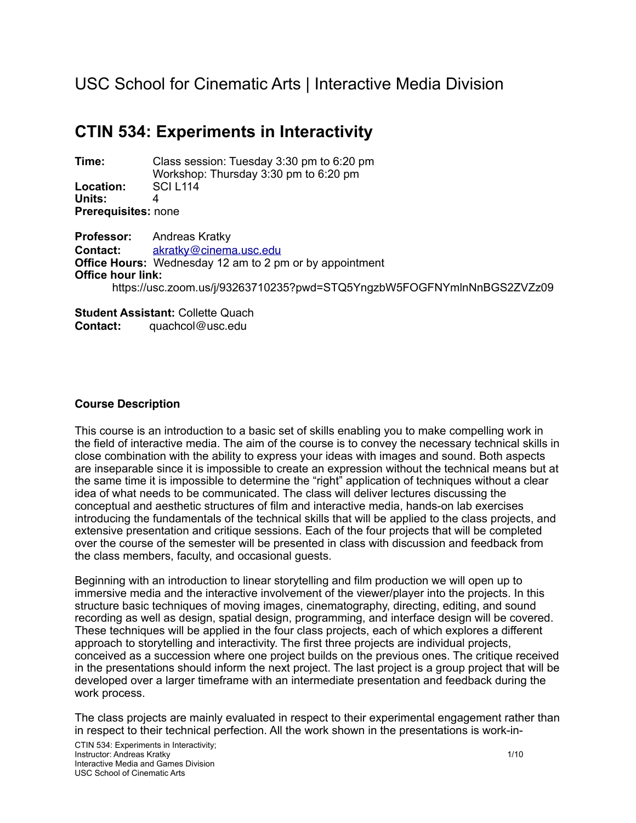# USC School for Cinematic Arts | Interactive Media Division

# **CTIN 534: Experiments in Interactivity**

**Time:** Class session: Tuesday 3:30 pm to 6:20 pm Workshop: Thursday 3:30 pm to 6:20 pm **Location:** SCI L114 **Units:** 4 **Prerequisites:** none

**Professor:** Andreas Kratky **Contact:** [akratky@cinema.usc.edu](mailto:akratky@cinema.usc.edu) **Office Hours:** Wednesday 12 am to 2 pm or by appointment **Office hour link:**  https://usc.zoom.us/j/93263710235?pwd=STQ5YngzbW5FOGFNYmlnNnBGS2ZVZz09

**Student Assistant:** Collette Quach **Contact:** quachcol@usc.edu

# **Course Description**

This course is an introduction to a basic set of skills enabling you to make compelling work in the field of interactive media. The aim of the course is to convey the necessary technical skills in close combination with the ability to express your ideas with images and sound. Both aspects are inseparable since it is impossible to create an expression without the technical means but at the same time it is impossible to determine the "right" application of techniques without a clear idea of what needs to be communicated. The class will deliver lectures discussing the conceptual and aesthetic structures of film and interactive media, hands-on lab exercises introducing the fundamentals of the technical skills that will be applied to the class projects, and extensive presentation and critique sessions. Each of the four projects that will be completed over the course of the semester will be presented in class with discussion and feedback from the class members, faculty, and occasional guests.

Beginning with an introduction to linear storytelling and film production we will open up to immersive media and the interactive involvement of the viewer/player into the projects. In this structure basic techniques of moving images, cinematography, directing, editing, and sound recording as well as design, spatial design, programming, and interface design will be covered. These techniques will be applied in the four class projects, each of which explores a different approach to storytelling and interactivity. The first three projects are individual projects, conceived as a succession where one project builds on the previous ones. The critique received in the presentations should inform the next project. The last project is a group project that will be developed over a larger timeframe with an intermediate presentation and feedback during the work process.

The class projects are mainly evaluated in respect to their experimental engagement rather than in respect to their technical perfection. All the work shown in the presentations is work-in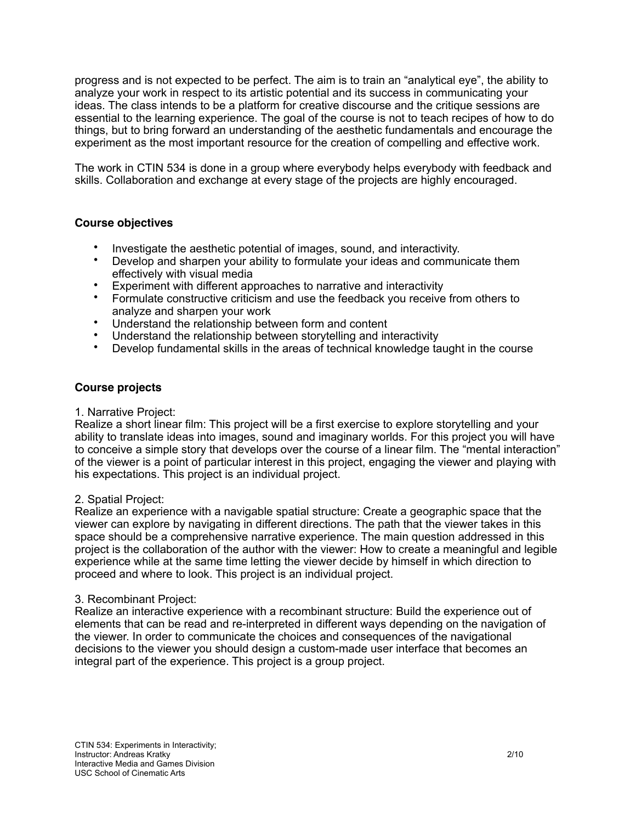progress and is not expected to be perfect. The aim is to train an "analytical eye", the ability to analyze your work in respect to its artistic potential and its success in communicating your ideas. The class intends to be a platform for creative discourse and the critique sessions are essential to the learning experience. The goal of the course is not to teach recipes of how to do things, but to bring forward an understanding of the aesthetic fundamentals and encourage the experiment as the most important resource for the creation of compelling and effective work.

The work in CTIN 534 is done in a group where everybody helps everybody with feedback and skills. Collaboration and exchange at every stage of the projects are highly encouraged.

# **Course objectives**

- Investigate the aesthetic potential of images, sound, and interactivity.
- Develop and sharpen your ability to formulate your ideas and communicate them effectively with visual media
- Experiment with different approaches to narrative and interactivity
- Formulate constructive criticism and use the feedback you receive from others to analyze and sharpen your work
- Understand the relationship between form and content
- Understand the relationship between storytelling and interactivity
- Develop fundamental skills in the areas of technical knowledge taught in the course

# **Course projects**

# 1. Narrative Project:

Realize a short linear film: This project will be a first exercise to explore storytelling and your ability to translate ideas into images, sound and imaginary worlds. For this project you will have to conceive a simple story that develops over the course of a linear film. The "mental interaction" of the viewer is a point of particular interest in this project, engaging the viewer and playing with his expectations. This project is an individual project.

# 2. Spatial Project:

Realize an experience with a navigable spatial structure: Create a geographic space that the viewer can explore by navigating in different directions. The path that the viewer takes in this space should be a comprehensive narrative experience. The main question addressed in this project is the collaboration of the author with the viewer: How to create a meaningful and legible experience while at the same time letting the viewer decide by himself in which direction to proceed and where to look. This project is an individual project.

# 3. Recombinant Project:

Realize an interactive experience with a recombinant structure: Build the experience out of elements that can be read and re-interpreted in different ways depending on the navigation of the viewer. In order to communicate the choices and consequences of the navigational decisions to the viewer you should design a custom-made user interface that becomes an integral part of the experience. This project is a group project.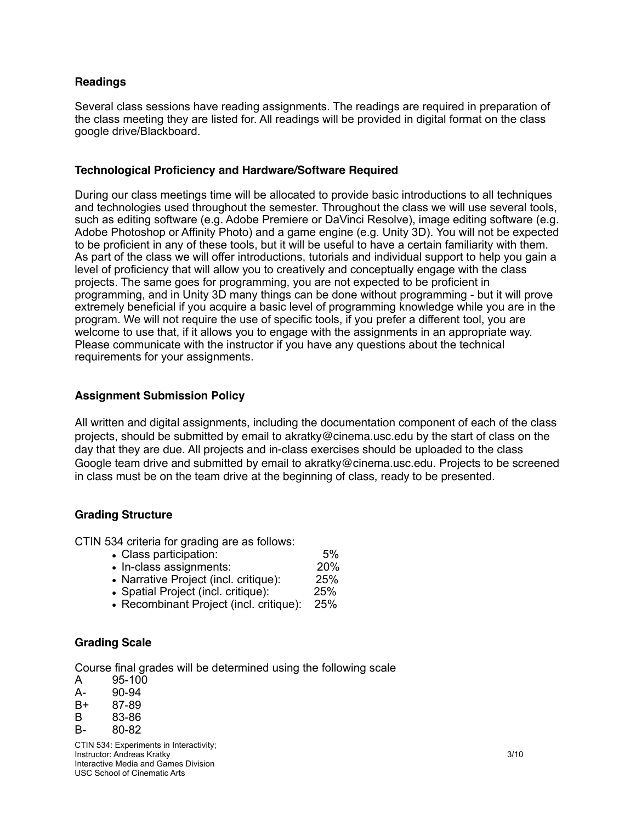# **Readings**

Several class sessions have reading assignments. The readings are required in preparation of the class meeting they are listed for. All readings will be provided in digital format on the class google drive/Blackboard.

## **Technological Proficiency and Hardware/Software Required**

During our class meetings time will be allocated to provide basic introductions to all techniques and technologies used throughout the semester. Throughout the class we will use several tools, such as editing software (e.g. Adobe Premiere or DaVinci Resolve), image editing software (e.g. Adobe Photoshop or Affinity Photo) and a game engine (e.g. Unity 3D). You will not be expected to be proficient in any of these tools, but it will be useful to have a certain familiarity with them. As part of the class we will offer introductions, tutorials and individual support to help you gain a level of proficiency that will allow you to creatively and conceptually engage with the class projects. The same goes for programming, you are not expected to be proficient in programming, and in Unity 3D many things can be done without programming - but it will prove extremely beneficial if you acquire a basic level of programming knowledge while you are in the program. We will not require the use of specific tools, if you prefer a different tool, you are welcome to use that, if it allows you to engage with the assignments in an appropriate way. Please communicate with the instructor if you have any questions about the technical requirements for your assignments.

# **Assignment Submission Policy**

All written and digital assignments, including the documentation component of each of the class projects, should be submitted by email to akratky@cinema.usc.edu by the start of class on the day that they are due. All projects and in-class exercises should be uploaded to the class Google team drive and submitted by email to akratky@cinema.usc.edu. Projects to be screened in class must be on the team drive at the beginning of class, ready to be presented.

# **Grading Structure**

CTIN 534 criteria for grading are as follows:

- Class participation: 6%<br>• In-class assignments: 620%
- In-class assignments: 20%<br>• Narrative Project (incl. critique): 25%
- Narrative Project (incl. critique): 25%<br>• Spatial Project (incl. critique): 25%
- Spatial Project (incl. critique):
- Recombinant Project (incl. critique): 25%

# **Grading Scale**

Course final grades will be determined using the following scale

- A 95-100
- A- 90-94
- B+ 87-89
- B 83-86
- B- 80-82

CTIN 534: Experiments in Interactivity; **Instructor: Andreas Kratky 3/10 3/10** Interactive Media and Games Division USC School of Cinematic Arts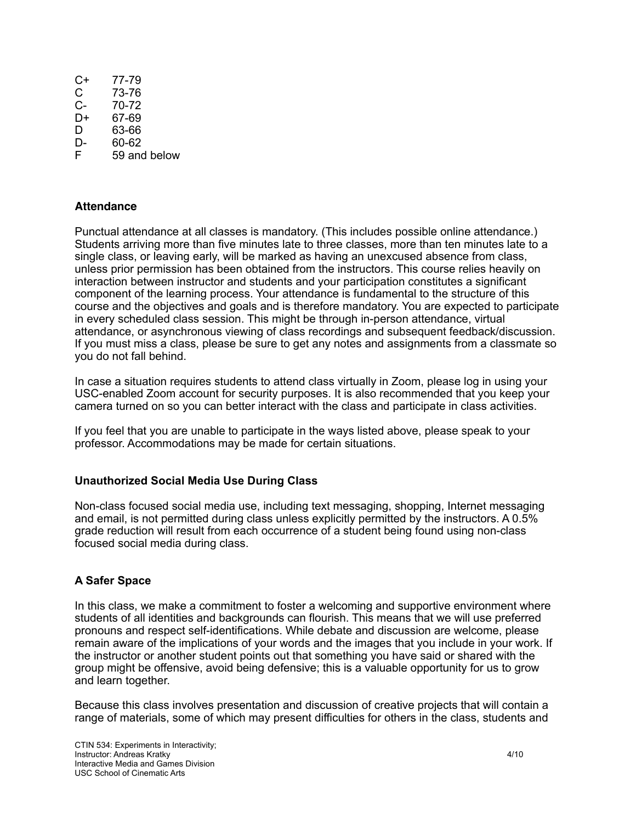| C+ | 77-79        |
|----|--------------|
| C  | 73-76        |
| C- | 70-72        |
| D+ | 67-69        |
| D  | 63-66        |
| D- | 60-62        |
| F  | 59 and below |

# **Attendance**

Punctual attendance at all classes is mandatory. (This includes possible online attendance.) Students arriving more than five minutes late to three classes, more than ten minutes late to a single class, or leaving early, will be marked as having an unexcused absence from class, unless prior permission has been obtained from the instructors. This course relies heavily on interaction between instructor and students and your participation constitutes a significant component of the learning process. Your attendance is fundamental to the structure of this course and the objectives and goals and is therefore mandatory. You are expected to participate in every scheduled class session. This might be through in-person attendance, virtual attendance, or asynchronous viewing of class recordings and subsequent feedback/discussion. If you must miss a class, please be sure to get any notes and assignments from a classmate so you do not fall behind.

In case a situation requires students to attend class virtually in Zoom, please log in using your USC-enabled Zoom account for security purposes. It is also recommended that you keep your camera turned on so you can better interact with the class and participate in class activities.

If you feel that you are unable to participate in the ways listed above, please speak to your professor. Accommodations may be made for certain situations.

# **Unauthorized Social Media Use During Class**

Non-class focused social media use, including text messaging, shopping, Internet messaging and email, is not permitted during class unless explicitly permitted by the instructors. A 0.5% grade reduction will result from each occurrence of a student being found using non-class focused social media during class.

# **A Safer Space**

In this class, we make a commitment to foster a welcoming and supportive environment where students of all identities and backgrounds can flourish. This means that we will use preferred pronouns and respect self-identifications. While debate and discussion are welcome, please remain aware of the implications of your words and the images that you include in your work. If the instructor or another student points out that something you have said or shared with the group might be offensive, avoid being defensive; this is a valuable opportunity for us to grow and learn together.

Because this class involves presentation and discussion of creative projects that will contain a range of materials, some of which may present difficulties for others in the class, students and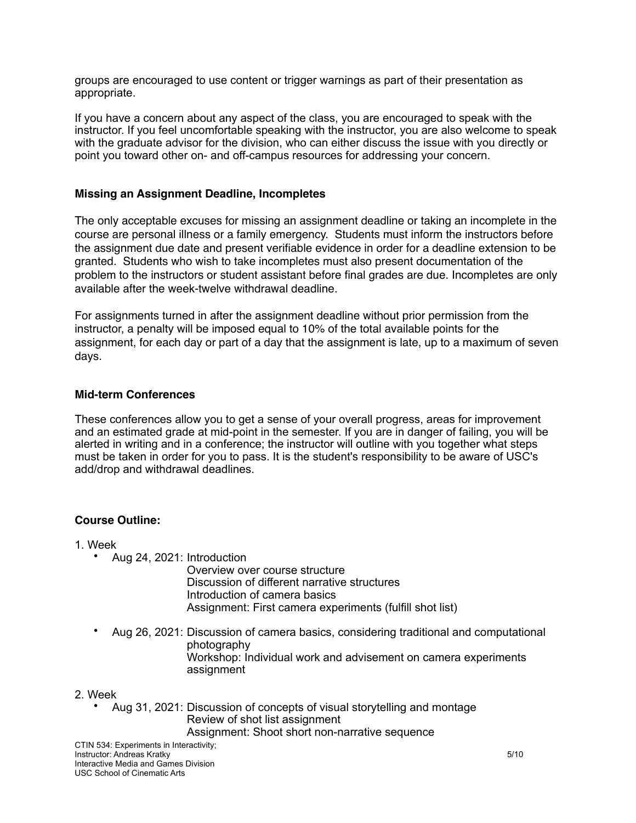groups are encouraged to use content or trigger warnings as part of their presentation as appropriate.

If you have a concern about any aspect of the class, you are encouraged to speak with the instructor. If you feel uncomfortable speaking with the instructor, you are also welcome to speak with the graduate advisor for the division, who can either discuss the issue with you directly or point you toward other on- and off-campus resources for addressing your concern.

# **Missing an Assignment Deadline, Incompletes**

The only acceptable excuses for missing an assignment deadline or taking an incomplete in the course are personal illness or a family emergency. Students must inform the instructors before the assignment due date and present verifiable evidence in order for a deadline extension to be granted. Students who wish to take incompletes must also present documentation of the problem to the instructors or student assistant before final grades are due. Incompletes are only available after the week-twelve withdrawal deadline.

For assignments turned in after the assignment deadline without prior permission from the instructor, a penalty will be imposed equal to 10% of the total available points for the assignment, for each day or part of a day that the assignment is late, up to a maximum of seven days.

# **Mid-term Conferences**

These conferences allow you to get a sense of your overall progress, areas for improvement and an estimated grade at mid-point in the semester. If you are in danger of failing, you will be alerted in writing and in a conference; the instructor will outline with you together what steps must be taken in order for you to pass. It is the student's responsibility to be aware of USC's add/drop and withdrawal deadlines.

# **Course Outline:**

- 1. Week
	- Aug 24, 2021: Introduction

Overview over course structure Discussion of different narrative structures Introduction of camera basics Assignment: First camera experiments (fulfill shot list)

• Aug 26, 2021: Discussion of camera basics, considering traditional and computational photography Workshop: Individual work and advisement on camera experiments assignment

#### 2. Week

• Aug 31, 2021: Discussion of concepts of visual storytelling and montage Review of shot list assignment Assignment: Shoot short non-narrative sequence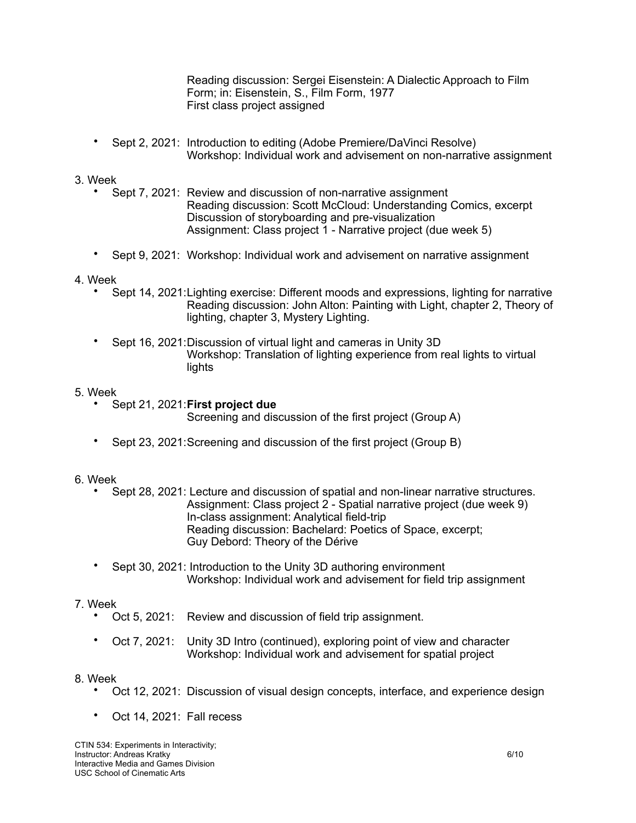Reading discussion: Sergei Eisenstein: A Dialectic Approach to Film Form; in: Eisenstein, S., Film Form, 1977 First class project assigned

• Sept 2, 2021: Introduction to editing (Adobe Premiere/DaVinci Resolve) Workshop: Individual work and advisement on non-narrative assignment

# 3. Week

- Sept 7, 2021: Review and discussion of non-narrative assignment Reading discussion: Scott McCloud: Understanding Comics, excerpt Discussion of storyboarding and pre-visualization Assignment: Class project 1 - Narrative project (due week 5)
- Sept 9, 2021: Workshop: Individual work and advisement on narrative assignment

# 4. Week

- Sept 14, 2021:Lighting exercise: Different moods and expressions, lighting for narrative Reading discussion: John Alton: Painting with Light, chapter 2, Theory of lighting, chapter 3, Mystery Lighting.
- Sept 16, 2021:Discussion of virtual light and cameras in Unity 3D Workshop: Translation of lighting experience from real lights to virtual lights

# 5. Week

• Sept 21, 2021:**First project due**

Screening and discussion of the first project (Group A)

• Sept 23, 2021:Screening and discussion of the first project (Group B)

# 6. Week

- Sept 28, 2021: Lecture and discussion of spatial and non-linear narrative structures. Assignment: Class project 2 - Spatial narrative project (due week 9) In-class assignment: Analytical field-trip Reading discussion: Bachelard: Poetics of Space, excerpt; Guy Debord: Theory of the Dérive
- Sept 30, 2021: Introduction to the Unity 3D authoring environment Workshop: Individual work and advisement for field trip assignment

# 7. Week

- Oct 5, 2021: Review and discussion of field trip assignment.
- Oct 7, 2021: Unity 3D Intro (continued), exploring point of view and character Workshop: Individual work and advisement for spatial project

# 8. Week

- Oct 12, 2021: Discussion of visual design concepts, interface, and experience design
- Oct 14, 2021: Fall recess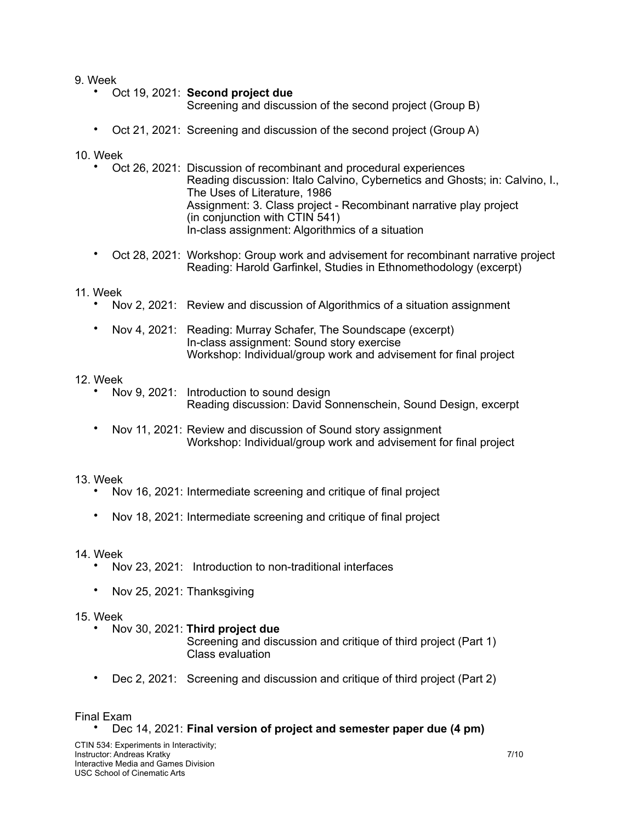9. Week

- Oct 19, 2021: **Second project due**
	- Screening and discussion of the second project (Group B)
- Oct 21, 2021: Screening and discussion of the second project (Group A)

10. Week

- Oct 26, 2021: Discussion of recombinant and procedural experiences Reading discussion: Italo Calvino, Cybernetics and Ghosts; in: Calvino, I., The Uses of Literature, 1986 Assignment: 3. Class project - Recombinant narrative play project (in conjunction with CTIN 541) In-class assignment: Algorithmics of a situation
- Oct 28, 2021: Workshop: Group work and advisement for recombinant narrative project Reading: Harold Garfinkel, Studies in Ethnomethodology (excerpt)

## 11. Week

- Nov 2, 2021: Review and discussion of Algorithmics of a situation assignment
- Nov 4, 2021: Reading: Murray Schafer, The Soundscape (excerpt) In-class assignment: Sound story exercise Workshop: Individual/group work and advisement for final project

# 12. Week

- Nov 9, 2021: Introduction to sound design Reading discussion: David Sonnenschein, Sound Design, excerpt
- Nov 11, 2021: Review and discussion of Sound story assignment Workshop: Individual/group work and advisement for final project

#### 13. Week

- Nov 16, 2021: Intermediate screening and critique of final project
- Nov 18, 2021: Intermediate screening and critique of final project

#### 14. Week

- Nov 23, 2021: Introduction to non-traditional interfaces
- Nov 25, 2021: Thanksgiving

#### 15. Week

• Nov 30, 2021: **Third project due**

Screening and discussion and critique of third project (Part 1) Class evaluation

• Dec 2, 2021: Screening and discussion and critique of third project (Part 2)

#### Final Exam

• Dec 14, 2021: **Final version of project and semester paper due (4 pm)**

CTIN 534: Experiments in Interactivity; **Instructor: Andreas Kratky 7/10 1999 1999 1999 1999 1999 1999 1999 1999 1999 1999 1999 1999 1999 1999 1999 1999 1999 1999 1999 1999 1999 1999 1999 1999 1999 1999 1999** Interactive Media and Games Division USC School of Cinematic Arts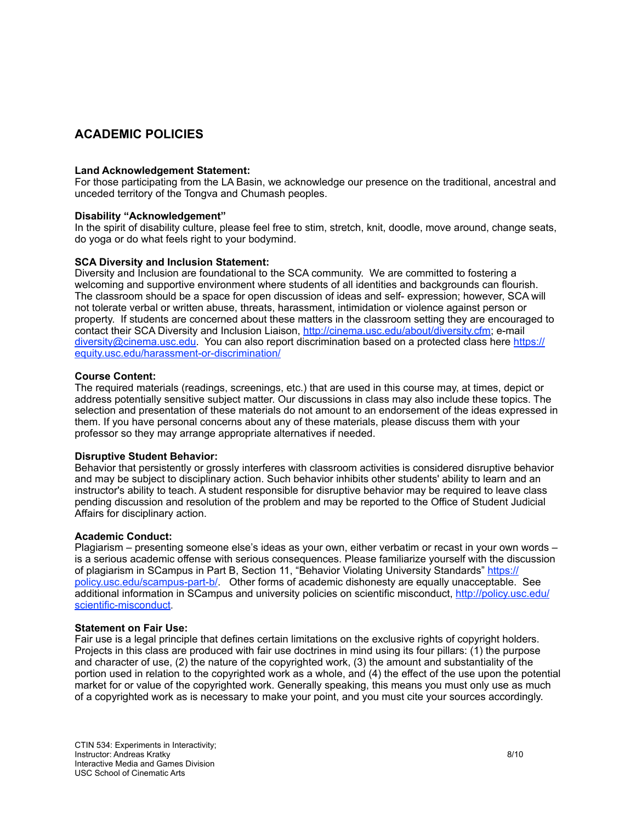# **ACADEMIC POLICIES**

#### **Land Acknowledgement Statement:**

For those participating from the LA Basin, we acknowledge our presence on the traditional, ancestral and unceded territory of the Tongva and Chumash peoples.

#### **Disability "Acknowledgement"**

In the spirit of disability culture, please feel free to stim, stretch, knit, doodle, move around, change seats, do yoga or do what feels right to your bodymind.

#### **SCA Diversity and Inclusion Statement:**

Diversity and Inclusion are foundational to the SCA community. We are committed to fostering a welcoming and supportive environment where students of all identities and backgrounds can flourish. The classroom should be a space for open discussion of ideas and self- expression; however, SCA will not tolerate verbal or written abuse, threats, harassment, intimidation or violence against person or property. If students are concerned about these matters in the classroom setting they are encouraged to contact their SCA Diversity and Inclusion Liaison, [http://cinema.usc.edu/about/diversity.cfm;](http://cinema.usc.edu/about/diversity.cfm) e-mail [diversity@cinema.usc.edu.](mailto:diversity@cinema.usc.edu) You can also report discrimination based on a protected class here [https://](https://equity.usc.edu/harassment-or-discrimination/) [equity.usc.edu/harassment-or-discrimination/](https://equity.usc.edu/harassment-or-discrimination/)

#### **Course Content:**

The required materials (readings, screenings, etc.) that are used in this course may, at times, depict or address potentially sensitive subject matter. Our discussions in class may also include these topics. The selection and presentation of these materials do not amount to an endorsement of the ideas expressed in them. If you have personal concerns about any of these materials, please discuss them with your professor so they may arrange appropriate alternatives if needed.

#### **Disruptive Student Behavior:**

Behavior that persistently or grossly interferes with classroom activities is considered disruptive behavior and may be subject to disciplinary action. Such behavior inhibits other students' ability to learn and an instructor's ability to teach. A student responsible for disruptive behavior may be required to leave class pending discussion and resolution of the problem and may be reported to the Office of Student Judicial Affairs for disciplinary action.

#### **Academic Conduct:**

Plagiarism – presenting someone else's ideas as your own, either verbatim or recast in your own words – is a serious academic offense with serious consequences. Please familiarize yourself with the discussion of plagiarism in SCampus in Part B, Section 11, "Behavior Violating University Standards" [https://](https://policy.usc.edu/scampus-part-b/) [policy.usc.edu/scampus-part-b/.](https://policy.usc.edu/scampus-part-b/) Other forms of academic dishonesty are equally unacceptable. See additional information in SCampus and university policies on scientific misconduct, [http://policy.usc.edu/](http://policy.usc.edu/scientific-misconduct/) [scientific-misconduct](http://policy.usc.edu/scientific-misconduct/).

#### **Statement on Fair Use:**

Fair use is a legal principle that defines certain limitations on the exclusive rights of copyright holders. Projects in this class are produced with fair use doctrines in mind using its four pillars: (1) the purpose and character of use, (2) the nature of the copyrighted work, (3) the amount and substantiality of the portion used in relation to the copyrighted work as a whole, and (4) the effect of the use upon the potential market for or value of the copyrighted work. Generally speaking, this means you must only use as much of a copyrighted work as is necessary to make your point, and you must cite your sources accordingly.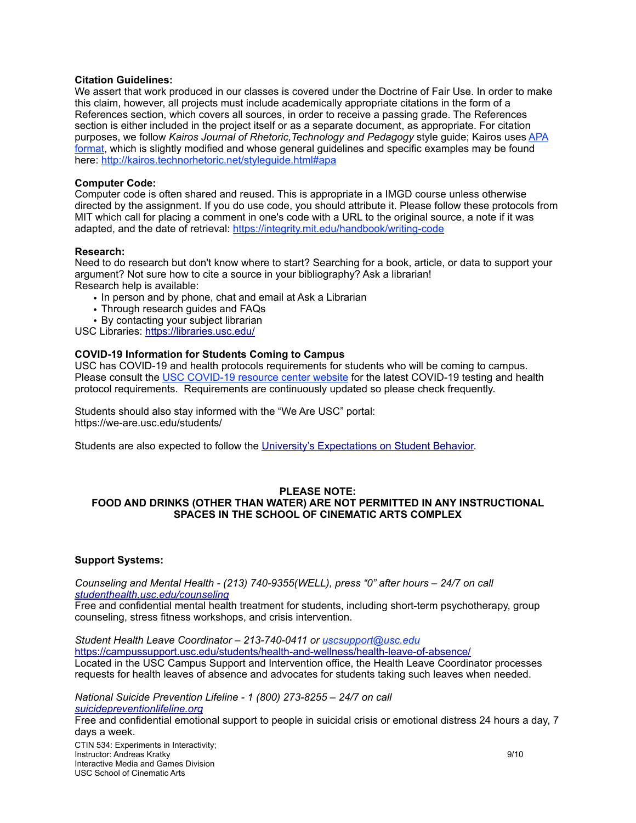#### **Citation Guidelines:**

We assert that work produced in our classes is covered under the Doctrine of Fair Use. In order to make this claim, however, all projects must include academically appropriate citations in the form of a References section, which covers all sources, in order to receive a passing grade. The References section is either included in the project itself or as a separate document, as appropriate. For citation purposes, we follow *Kairos Journal of Rhetoric,Technology and Pedagogy* style guide; Kairos uses [APA](https://urldefense.proofpoint.com/v2/url?u=https-3A__owl.purdue.edu_owl_research-5Fand-5Fcitation_apa-5Fstyle_apa-5Fformatting-5Fand-5Fstyle-5Fguide_general-5Fformat.html&d=DwMFaQ&c=clK7kQUTWtAVEOVIgvi0NU5BOUHhpN0H8p7CSfnc_gI&r=rUhT8lf5L1SvhABl-GYLQwXJPWiT8klYJQfeaPke8EM&m=MeJGvYHCNPVfRnTHtR_vrkF9J1fq7OqZy_Y2qQHsgDo&s=Dh3ukG49EBzUUL1nOVWlZYkL57VNNiuWOeLX5_Zk8Ws&e=)  [format](https://urldefense.proofpoint.com/v2/url?u=https-3A__owl.purdue.edu_owl_research-5Fand-5Fcitation_apa-5Fstyle_apa-5Fformatting-5Fand-5Fstyle-5Fguide_general-5Fformat.html&d=DwMFaQ&c=clK7kQUTWtAVEOVIgvi0NU5BOUHhpN0H8p7CSfnc_gI&r=rUhT8lf5L1SvhABl-GYLQwXJPWiT8klYJQfeaPke8EM&m=MeJGvYHCNPVfRnTHtR_vrkF9J1fq7OqZy_Y2qQHsgDo&s=Dh3ukG49EBzUUL1nOVWlZYkL57VNNiuWOeLX5_Zk8Ws&e=), which is slightly modified and whose general guidelines and specific examples may be found here: [http://kairos.technorhetoric.net/styleguide.html#apa](https://urldefense.proofpoint.com/v2/url?u=http-3A__kairos.technorhetoric.net_styleguide.html-23apa&d=DwMFaQ&c=clK7kQUTWtAVEOVIgvi0NU5BOUHhpN0H8p7CSfnc_gI&r=rUhT8lf5L1SvhABl-GYLQwXJPWiT8klYJQfeaPke8EM&m=MeJGvYHCNPVfRnTHtR_vrkF9J1fq7OqZy_Y2qQHsgDo&s=Kxz2fc2JzfSQfl1qc23k2bGJwCpdsBcU4mZ4qB-ISOc&e=)

## **Computer Code:**

Computer code is often shared and reused. This is appropriate in a IMGD course unless otherwise directed by the assignment. If you do use code, you should attribute it. Please follow these protocols from MIT which call for placing a comment in one's code with a URL to the original source, a note if it was adapted, and the date of retrieval:<https://integrity.mit.edu/handbook/writing-code>

## **Research:**

Need to do research but don't know where to start? Searching for a book, article, or data to support your argument? Not sure how to cite a source in your bibliography? Ask a librarian! Research help is available:

- In person and by phone, chat and email at Ask a Librarian
- Through research guides and FAQs
- By contacting your subject librarian

USC Libraries: <https://libraries.usc.edu/>

# **COVID-19 Information for Students Coming to Campus**

USC has COVID-19 and health protocols requirements for students who will be coming to campus. Please consult the [USC COVID-19 resource center website](https://coronavirus.usc.edu/students/) for the latest COVID-19 testing and health protocol requirements. Requirements are continuously updated so please check frequently.

Students should also stay informed with the "We Are USC" portal: https://we-are.usc.edu/students/

Students are also expected to follow the [University's Expectations on Student Behavior.](http://view.comms.usc.edu/?qs=97e5c68d5a61f9d01de8c643a7edaf31eb85bbbdd236cb7319e7cb260f9b8b19f25457cda5dcf9a87cde2e9a0dd7c25cf70339e5014de102895f5ec516e4a950cb44af3a94df553b)

#### **PLEASE NOTE: FOOD AND DRINKS (OTHER THAN WATER) ARE NOT PERMITTED IN ANY INSTRUCTIONAL SPACES IN THE SCHOOL OF CINEMATIC ARTS COMPLEX**

#### **Support Systems:**

*Counseling and Mental Health - (213) 740-9355(WELL), press "0" after hours – 24/7 on call [studenthealth.usc.edu/counseling](https://studenthealth.usc.edu/counseling/)*

Free and confidential mental health treatment for students, including short-term psychotherapy, group counseling, stress fitness workshops, and crisis intervention.

*Student Health Leave Coordinator – 213-740-0411 or [uscsupport@usc.edu](mailto:uscsupport@usc.edu)* <https://campussupport.usc.edu/students/health-and-wellness/health-leave-of-absence/> Located in the USC Campus Support and Intervention office, the Health Leave Coordinator processes requests for health leaves of absence and advocates for students taking such leaves when needed.

*National Suicide Prevention Lifeline - 1 (800) 273-8255 – 24/7 on call [suicidepreventionlifeline.org](http://www.suicidepreventionlifeline.org/)*

Free and confidential emotional support to people in suicidal crisis or emotional distress 24 hours a day, 7 days a week.

CTIN 534: Experiments in Interactivity; **Instructor: Andreas Kratky 9/10 9/10** Interactive Media and Games Division USC School of Cinematic Arts